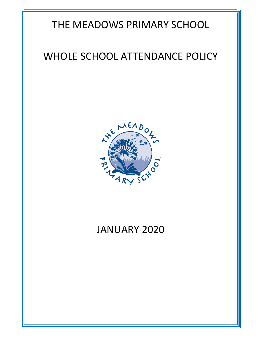## THE MEADOWS PRIMARY SCHOOL

## WHOLE SCHOOL ATTENDANCE POLICY



# JANUARY 2020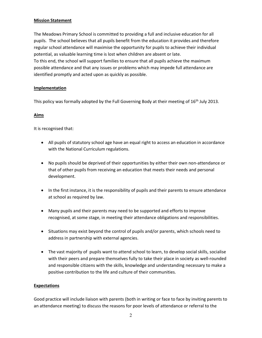#### Mission Statement

The Meadows Primary School is committed to providing a full and inclusive education for all pupils. The school believes that all pupils benefit from the education it provides and therefore regular school attendance will maximise the opportunity for pupils to achieve their individual potential, as valuable learning time is lost when children are absent or late. To this end, the school will support families to ensure that all pupils achieve the maximum possible attendance and that any issues or problems which may impede full attendance are identified promptly and acted upon as quickly as possible.

## Implementation

This policy was formally adopted by the Full Governing Body at their meeting of 16<sup>th</sup> July 2013.

## Aims

It is recognised that:

- All pupils of statutory school age have an equal right to access an education in accordance with the National Curriculum regulations.
- No pupils should be deprived of their opportunities by either their own non-attendance or that of other pupils from receiving an education that meets their needs and personal development.
- In the first instance, it is the responsibility of pupils and their parents to ensure attendance at school as required by law.
- Many pupils and their parents may need to be supported and efforts to improve recognised, at some stage, in meeting their attendance obligations and responsibilities.
- Situations may exist beyond the control of pupils and/or parents, which schools need to address in partnership with external agencies.
- The vast majority of pupils want to attend school to learn, to develop social skills, socialise with their peers and prepare themselves fully to take their place in society as well-rounded and responsible citizens with the skills, knowledge and understanding necessary to make a positive contribution to the life and culture of their communities.

## **Expectations**

Good practice will include liaison with parents (both in writing or face to face by inviting parents to an attendance meeting) to discuss the reasons for poor levels of attendance or referral to the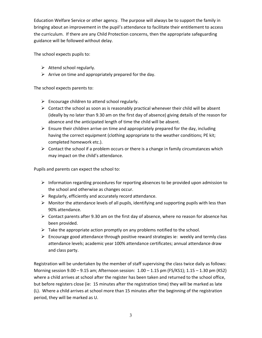Education Welfare Service or other agency. The purpose will always be to support the family in bringing about an improvement in the pupil's attendance to facilitate their entitlement to access the curriculum. If there are any Child Protection concerns, then the appropriate safeguarding guidance will be followed without delay.

The school expects pupils to:

- $\triangleright$  Attend school regularly.
- $\triangleright$  Arrive on time and appropriately prepared for the day.

The school expects parents to:

- $\triangleright$  Encourage children to attend school regularly.
- $\triangleright$  Contact the school as soon as is reasonably practical whenever their child will be absent (ideally by no later than 9.30 am on the first day of absence) giving details of the reason for absence and the anticipated length of time the child will be absent.
- $\triangleright$  Ensure their children arrive on time and appropriately prepared for the day, including having the correct equipment (clothing appropriate to the weather conditions; PE kit; completed homework etc.).
- $\triangleright$  Contact the school if a problem occurs or there is a change in family circumstances which may impact on the child's attendance.

Pupils and parents can expect the school to:

- $\triangleright$  Information regarding procedures for reporting absences to be provided upon admission to the school and otherwise as changes occur.
- $\triangleright$  Regularly, efficiently and accurately record attendance.
- $\triangleright$  Monitor the attendance levels of all pupils, identifying and supporting pupils with less than 90% attendance.
- $\triangleright$  Contact parents after 9.30 am on the first day of absence, where no reason for absence has been provided.
- $\triangleright$  Take the appropriate action promptly on any problems notified to the school.
- $\triangleright$  Encourage good attendance through positive reward strategies ie: weekly and termly class attendance levels; academic year 100% attendance certificates; annual attendance draw and class party.

Registration will be undertaken by the member of staff supervising the class twice daily as follows: Morning session 9.00 – 9.15 am; Afternoon session: 1.00 – 1.15 pm (FS/KS1); 1.15 – 1.30 pm (KS2) where a child arrives at school after the register has been taken and returned to the school office, but before registers close (ie: 15 minutes after the registration time) they will be marked as late (L). Where a child arrives at school more than 15 minutes after the beginning of the registration period, they will be marked as U.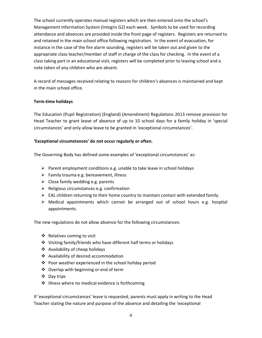The school currently operates manual registers which are then entered onto the school's Management Information System (Integris G2) each week. Symbols to be used for recording attendance and absences are provided inside the front page of registers. Registers are returned to and retained in the main school office following registration. In the event of evacuation, for instance in the case of the fire alarm sounding, registers will be taken out and given to the appropriate class teacher/member of staff in charge of the class for checking. In the event of a class taking part in an educational visit, registers will be completed prior to leaving school and a note taken of any children who are absent.

A record of messages received relating to reasons for children's absences is maintained and kept in the main school office.

## Term-time holidays

The Education (Pupil Registration) (England) (Amendment) Regulations 2013 remove provision for Head Teacher to grant leave of absence of up to 10 school days for a family holiday in 'special circumstances' and only allow leave to be granted in 'exceptional circumstances'.

## 'Exceptional circumstances' do not occur regularly or often.

The Governing Body has defined some examples of 'exceptional circumstances' as:

- $\triangleright$  Parent employment conditions e.g. unable to take leave in school holidays
- $\triangleright$  Family trauma e.g. bereavement, illness
- $\triangleright$  Close family wedding e.g. parents
- $\triangleright$  Religious circumstances e.g. confirmation
- $\triangleright$  EAL children returning to their home country to maintain contact with extended family.
- $\triangleright$  Medical appointments which cannot be arranged out of school hours e.g. hospital appointments.

The new regulations do not allow absence for the following circumstances:

- $\triangleleft$  Relatives coming to visit
- Visiting family/friends who have different half terms or holidays
- Availability of cheap holidays
- Availability of desired accommodation
- ❖ Poor weather experienced in the school holiday period
- ◆ Overlap with beginning or end of term
- Day trips
- $\cdot$  Illness where no medical evidence is forthcoming

If 'exceptional circumstances' leave is requested, parents must apply in writing to the Head Teacher stating the nature and purpose of the absence and detailing the 'exceptional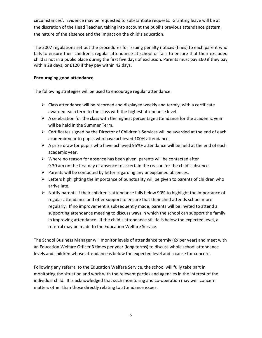circumstances'. Evidence may be requested to substantiate requests. Granting leave will be at the discretion of the Head Teacher, taking into account the pupil's previous attendance pattern, the nature of the absence and the impact on the child's education.

The 2007 regulations set out the procedures for issuing penalty notices (fines) to each parent who fails to ensure their children's regular attendance at school or fails to ensure that their excluded child is not in a public place during the first five days of exclusion. Parents must pay £60 if they pay within 28 days; or £120 if they pay within 42 days.

## Encouraging good attendance

The following strategies will be used to encourage regular attendance:

- $\triangleright$  Class attendance will be recorded and displayed weekly and termly, with a certificate awarded each term to the class with the highest attendance level.
- $\triangleright$  A celebration for the class with the highest percentage attendance for the academic year will be held in the Summer Term.
- $\triangleright$  Certificates signed by the Director of Children's Services will be awarded at the end of each academic year to pupils who have achieved 100% attendance.
- $\triangleright$  A prize draw for pupils who have achieved 95%+ attendance will be held at the end of each academic year.
- $\triangleright$  Where no reason for absence has been given, parents will be contacted after 9.30 am on the first day of absence to ascertain the reason for the child's absence.
- $\triangleright$  Parents will be contacted by letter regarding any unexplained absences.
- $\triangleright$  Letters highlighting the importance of punctuality will be given to parents of children who arrive late.
- $\triangleright$  Notify parents if their children's attendance falls below 90% to highlight the importance of regular attendance and offer support to ensure that their child attends school more regularly. If no improvement is subsequently made, parents will be invited to attend a supporting attendance meeting to discuss ways in which the school can support the family in improving attendance. If the child's attendance still falls below the expected level, a referral may be made to the Education Welfare Service.

The School Business Manager will monitor levels of attendance termly (6x per year) and meet with an Education Welfare Officer 3 times per year (long terms) to discuss whole school attendance levels and children whose attendance is below the expected level and a cause for concern.

Following any referral to the Education Welfare Service, the school will fully take part in monitoring the situation and work with the relevant parties and agencies in the interest of the individual child. It is acknowledged that such monitoring and co-operation may well concern matters other than those directly relating to attendance issues.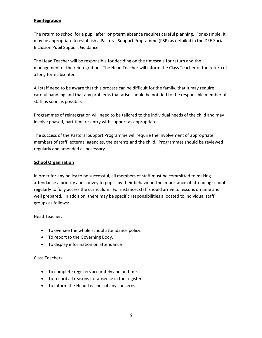## **Reintegration**

The return to school for a pupil after long-term absence requires careful planning. For example, it may be appropriate to establish a Pastoral Support Programme (PSP) as detailed in the DFE Social Inclusion Pupil Support Guidance.

The Head Teacher will be responsible for deciding on the timescale for return and the management of the reintegration. The Head Teacher will inform the Class Teacher of the return of a long term absentee.

All staff need to be aware that this process can be difficult for the family, that it may require careful handling and that any problems that arise should be notified to the responsible member of staff as soon as possible.

Programmes of reintegration will need to be tailored to the individual needs of the child and may involve phased, part time re-entry with support as appropriate.

The success of the Pastoral Support Programme will require the involvement of appropriate members of staff, external agencies, the parents and the child. Programmes should be reviewed regularly and amended as necessary.

#### School Organisation

In order for any policy to be successful, all members of staff must be committed to making attendance a priority and convey to pupils by their behaviour, the importance of attending school regularly to fully access the curriculum. For instance, staff should arrive to lessons on time and well prepared. In addition, there may be specific responsibilities allocated to individual staff groups as follows:

Head Teacher:

- To oversee the whole school attendance policy.
- To report to the Governing Body.
- To display information on attendance

Class Teachers:

- To complete registers accurately and on time.
- To record all reasons for absence in the register.
- To inform the Head Teacher of any concerns.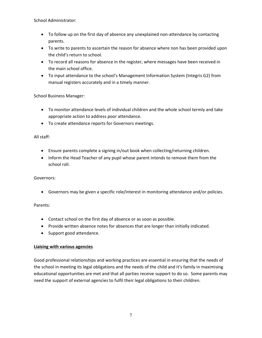School Administrator:

- To follow up on the first day of absence any unexplained non-attendance by contacting parents.
- To write to parents to ascertain the reason for absence where non has been provided upon the child's return to school.
- To record all reasons for absence in the register, where messages have been received in the main school office.
- To input attendance to the school's Management Information System (Integris G2) from manual registers accurately and in a timely manner.

School Business Manager:

- To monitor attendance levels of individual children and the whole school termly and take appropriate action to address poor attendance.
- To create attendance reports for Governors meetings.

## All staff:

- Ensure parents complete a signing in/out book when collecting/returning children.
- Inform the Head Teacher of any pupil whose parent intends to remove them from the school roll.

Governors:

Governors may be given a specific role/interest in monitoring attendance and/or policies.

Parents:

- Contact school on the first day of absence or as soon as possible.
- Provide written absence notes for absences that are longer than initially indicated.
- Support good attendance.

## Liaising with various agencies

Good professional relationships and working practices are essential in ensuring that the needs of the school in meeting its legal obligations and the needs of the child and it's family in maximising educational opportunities are met and that all parties receive support to do so. Some parents may need the support of external agencies to fulfil their legal obligations to their children.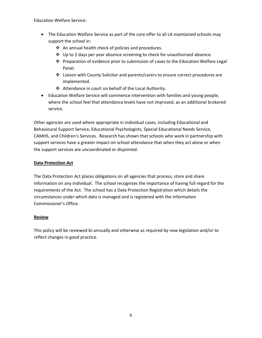Education Welfare Service:

- The Education Welfare Service as part of the core offer to all LA maintained schools may support the school in:
	- ❖ An annual health check of policies and procedures.
	- $\div$  Up to 2 days per year absence screening to check for unauthorised absence.
	- Preparation of evidence prior to submission of cases to the Education Welfare Legal Panel.
	- $\clubsuit$  Liaison with County Solicitor and parents/carers to ensure correct procedures are implemented.
	- Attendance in court on behalf of the Local Authority.
- Education Welfare Service will commence intervention with families and young people, where the school feel that attendance levels have not improved, as an additional brokered service.

Other agencies are used where appropriate in individual cases, including Educational and Behavioural Support Service, Educational Psychologists, Special Educational Needs Service, CAMHS, and Children's Services. Research has shown that schools who work in partnership with support services have a greater impact on school attendance that when they act alone or when the support services are uncoordinated or disjointed.

## Data Protection Act

The Data Protection Act places obligations on all agencies that process, store and share information on any individual. The school recognises the importance of having full regard for the requirements of the Act. The school has a Data Protection Registration which details the circumstances under which data is managed and is registered with the Information Commissioner's Office.

## Review

This policy will be reviewed bi-annually and otherwise as required by new legislation and/or to reflect changes in good practice.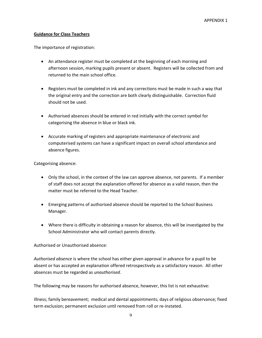## Guidance for Class Teachers

The importance of registration:

- An attendance register must be completed at the beginning of each morning and afternoon session, marking pupils present or absent. Registers will be collected from and returned to the main school office.
- Registers must be completed in ink and any corrections must be made in such a way that the original entry and the correction are both clearly distinguishable. Correction fluid should not be used.
- Authorised absences should be entered in red initially with the correct symbol for categorising the absence in blue or black ink.
- Accurate marking of registers and appropriate maintenance of electronic and computerised systems can have a significant impact on overall school attendance and absence figures.

Categorising absence:

- Only the school, in the context of the law can approve absence, not parents. If a member of staff does not accept the explanation offered for absence as a valid reason, then the matter must be referred to the Head Teacher.
- Emerging patterns of authorised absence should be reported to the School Business Manager.
- Where there is difficulty in obtaining a reason for absence, this will be investigated by the School Administrator who will contact parents directly.

Authorised or Unauthorised absence:

Authorised absence is where the school has either given approval in advance for a pupil to be absent or has accepted an explanation offered retrospectively as a satisfactory reason. All other absences must be regarded as unauthorised.

The following may be reasons for authorised absence, however, this list is not exhaustive:

Illness; family bereavement; medical and dental appointments; days of religious observance; fixed term exclusion; permanent exclusion until removed from roll or re-instated.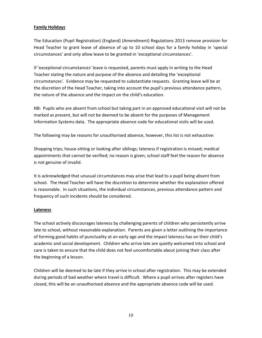## Family Holidays

The Education (Pupil Registration) (England) (Amendment) Regulations 2013 remove provision for Head Teacher to grant leave of absence of up to 10 school days for a family holiday in 'special circumstances' and only allow leave to be granted in 'exceptional circumstances'.

If 'exceptional circumstances' leave is requested, parents must apply in writing to the Head Teacher stating the nature and purpose of the absence and detailing the 'exceptional circumstances'. Evidence may be requested to substantiate requests. Granting leave will be at the discretion of the Head Teacher, taking into account the pupil's previous attendance pattern, the nature of the absence and the impact on the child's education.

NB: Pupils who are absent from school but taking part in an approved educational visit will not be marked as present, but will not be deemed to be absent for the purposes of Management Information Systems data. The appropriate absence code for educational visits will be used.

The following may be reasons for unauthorised absence, however, this list is not exhaustive:

Shopping trips; house-sitting or looking after siblings; lateness if registration is missed; medical appointments that cannot be verified; no reason is given; school staff feel the reason for absence is not genuine of invalid.

It is acknowledged that unusual circumstances may arise that lead to a pupil being absent from school. The Head Teacher will have the discretion to determine whether the explanation offered is reasonable. In such situations, the individual circumstances, previous attendance pattern and frequency of such incidents should be considered.

#### **Lateness**

The school actively discourages lateness by challenging parents of children who persistently arrive late to school, without reasonable explanation. Parents are given a letter outlining the importance of forming good habits of punctuality at an early age and the impact lateness has on their child's academic and social development. Children who arrive late are quietly welcomed into school and care is taken to ensure that the child does not feel uncomfortable about joining their class after the beginning of a lesson.

Children will be deemed to be late if they arrive in school after registration. This may be extended during periods of bad weather where travel is difficult. Where a pupil arrives after registers have closed, this will be an unauthorised absence and the appropriate absence code will be used.